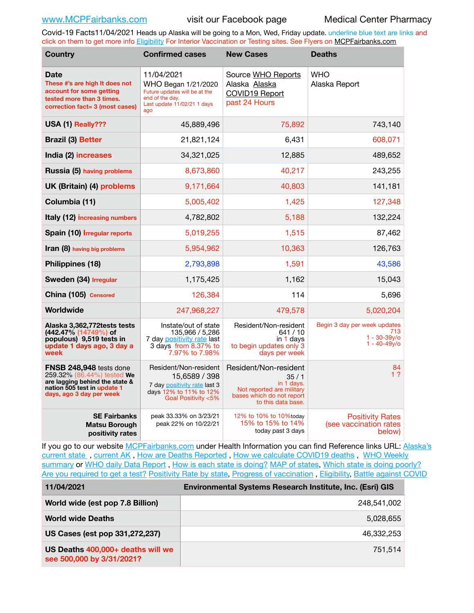Covid-19 Facts11/04/2021 Heads up Alaska will be going to a Mon, Wed, Friday update. underline blue text are links and click on them to get more info [Eligibility](http://dhss.alaska.gov/dph/Epi/id/Pages/COVID-19/VaccineAvailability.aspx) For Interior Vaccination or Testing sites. See Flyers on [MCPFairbanks.com](http://www.MCPFairbanks.com)

| <b>Country</b>                                                                                                                                     | <b>Confirmed cases</b>                                                                                                      | <b>New Cases</b>                                                                                                            | <b>Deaths</b>                                                             |
|----------------------------------------------------------------------------------------------------------------------------------------------------|-----------------------------------------------------------------------------------------------------------------------------|-----------------------------------------------------------------------------------------------------------------------------|---------------------------------------------------------------------------|
| <b>Date</b><br>These #'s are high It does not<br>account for some getting<br>tested more than 3 times.<br>correction fact= 3 (most cases)          | 11/04/2021<br>WHO Began 1/21/2020<br>Future updates will be at the<br>end of the day.<br>Last update 11/02/21 1 days<br>ago | Source WHO Reports<br>Alaska Alaska<br>COVID19 Report<br>past 24 Hours                                                      | <b>WHO</b><br>Alaska Report                                               |
| USA (1) Really???                                                                                                                                  | 45,889,496                                                                                                                  | 75,892                                                                                                                      | 743,140                                                                   |
| <b>Brazil (3) Better</b>                                                                                                                           | 21,821,124                                                                                                                  | 6,431                                                                                                                       | 608,071                                                                   |
| India (2) increases                                                                                                                                | 34,321,025                                                                                                                  | 12,885                                                                                                                      | 489,652                                                                   |
| Russia (5) having problems                                                                                                                         | 8,673,860                                                                                                                   | 40,217                                                                                                                      | 243,255                                                                   |
| UK (Britain) (4) problems                                                                                                                          | 9,171,664                                                                                                                   | 40,803                                                                                                                      | 141,181                                                                   |
| Columbia (11)                                                                                                                                      | 5,005,402                                                                                                                   | 1,425                                                                                                                       | 127,348                                                                   |
| Italy (12) increasing numbers                                                                                                                      | 4,782,802                                                                                                                   | 5,188                                                                                                                       | 132,224                                                                   |
| Spain (10) Irregular reports                                                                                                                       | 5,019,255                                                                                                                   | 1,515                                                                                                                       | 87,462                                                                    |
| Iran (8) having big problems                                                                                                                       | 5,954,962                                                                                                                   | 10,363                                                                                                                      | 126,763                                                                   |
| Philippines (18)                                                                                                                                   | 2,793,898                                                                                                                   | 1,591                                                                                                                       | 43,586                                                                    |
| Sweden (34) Irregular                                                                                                                              | 1,175,425                                                                                                                   | 1,162                                                                                                                       | 15,043                                                                    |
| China (105) Censored                                                                                                                               | 126,384                                                                                                                     | 114                                                                                                                         | 5,696                                                                     |
| Worldwide                                                                                                                                          | 247,968,227                                                                                                                 | 479,578                                                                                                                     | 5,020,204                                                                 |
| Alaska 3,362,772tests tests<br>$(442.47\% (14749\%) of$<br>populous) 9,519 tests in<br>update 1 days ago, 3 day a<br>week                          | Instate/out of state<br>135,966 / 5,286<br>7 day positivity rate last<br>3 days from 8.37% to<br>7.97% to 7.98%             | Resident/Non-resident<br>641/10<br>in 1 days<br>to begin updates only 3<br>days per week                                    | Begin 3 day per week updates<br>713<br>$1 - 30 - 39v$ o<br>$1 - 40 - 49y$ |
| FNSB 248,948 tests done<br>259.32% (86.44%) tested We<br>are lagging behind the state &<br>nation 505 test in update 1<br>days, ago 3 day per week | Resident/Non-resident<br>15,6589 / 398<br>7 day positivity rate last 3<br>days 12% to 11% to 12%<br>Goal Positivity <5%     | Resident/Non-resident<br>35/1<br>in 1 days.<br>Not reported are military<br>bases which do not report<br>to this data base. | 84<br>1 <sub>2</sub>                                                      |
| <b>SE Fairbanks</b><br><b>Matsu Borough</b><br>positivity rates                                                                                    | peak 33.33% on 3/23/21<br>peak 22% on 10/22/21                                                                              | 12% to 10% to 10% today<br>15% to 15% to 14%<br>today past 3 days                                                           | <b>Positivity Rates</b><br>(see vaccination rates<br>below)               |

If you go to our website [MCPFairbanks.com](http://www.MCPFairbanks.com) under Health Information you can find Reference links URL: Alaska's [current state](https://coronavirus-response-alaska-dhss.hub.arcgis.com) , [current AK](http://dhss.alaska.gov/dph/Epi/id/Pages/COVID-19/communications.aspx#cases) , [How are Deaths Reported](http://dhss.alaska.gov/dph/Epi/id/Pages/COVID-19/deathcounts.aspx) , [How we calculate COVID19 deaths](https://coronavirus-response-alaska-dhss.hub.arcgis.com/search?collection=Document&groupIds=41ccb3344ebc4bd682c74073eba21f42) , [WHO Weekly](http://www.who.int)  [summary](http://www.who.int) or [WHO daily Data Report](https://covid19.who.int/table), [How is each state is doing?](https://www.msn.com/en-us/news/us/state-by-state-coronavirus-news/ar-BB13E1PX?fbclid=IwAR0_OBJH7lSyTN3ug_MsOeFnNgB1orTa9OBgilKJ7dhnwlVvHEsptuKkj1c) [MAP of states,](https://www.nationalgeographic.com/science/graphics/graphic-tracking-coronavirus-infections-us?cmpid=org=ngp::mc=crm-email::src=ngp::cmp=editorial::add=SpecialEdition_20210305&rid=B9A6DF5992658E8E35CE023113CFEA4C) [Which state is doing poorly?](https://bestlifeonline.com/covid-outbreak-your-state/?utm_source=nsltr&utm_medium=email&utm_content=covid-outbreak-your-state&utm_campaign=launch) [Are you required to get a test?](http://dhss.alaska.gov/dph/Epi/id/SiteAssets/Pages/HumanCoV/Whattodoafteryourtest.pdf) [Positivity Rate by state](https://coronavirus.jhu.edu/testing/individual-states/alaska), Progress of vaccination, [Eligibility,](http://dhss.alaska.gov/dph/Epi/id/Pages/COVID-19/VaccineAvailability.aspx) [Battle against COVID](https://www.nationalgeographic.com/science/graphics/graphic-tracking-coronavirus-infections-us?cmpid=org=ngp::mc=crm-email::src=ngp::cmp=editorial::add=SpecialEdition_20210219&rid=B9A6DF5992658E8E35CE023113CFEA4C)

| 11/04/2021                                                     | <b>Environmental Systems Research Institute, Inc. (Esri) GIS</b> |  |
|----------------------------------------------------------------|------------------------------------------------------------------|--|
| World wide (est pop 7.8 Billion)                               | 248,541,002                                                      |  |
| <b>World wide Deaths</b>                                       | 5,028,655                                                        |  |
| US Cases (est pop 331,272,237)                                 | 46.332.253                                                       |  |
| US Deaths 400,000+ deaths will we<br>see 500,000 by 3/31/2021? | 751.514                                                          |  |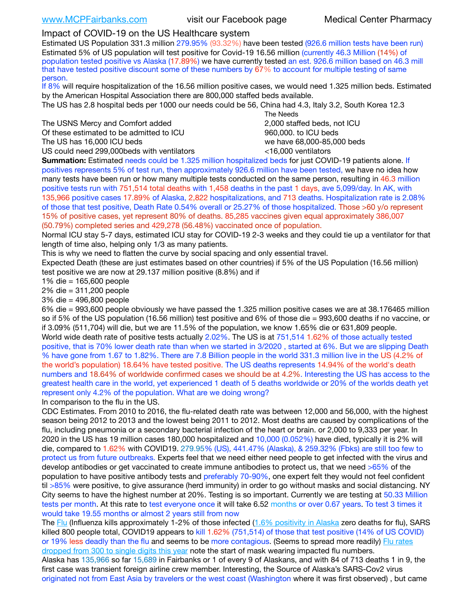## Impact of COVID-19 on the US Healthcare system

Estimated US Population 331.3 million 279.95% (93.32%) have been tested (926.6 million tests have been run) Estimated 5% of US population will test positive for Covid-19 16.56 million (currently 46.3 Million (14%) of population tested positive vs Alaska (17.89%) we have currently tested an est. 926.6 million based on 46.3 mill that have tested positive discount some of these numbers by 67% to account for multiple testing of same person.

If 8% will require hospitalization of the 16.56 million positive cases, we would need 1.325 million beds. Estimated by the American Hospital Association there are 800,000 staffed beds available.

The US has 2.8 hospital beds per 1000 our needs could be 56, China had 4.3, Italy 3.2, South Korea 12.3

The USNS Mercy and Comfort added 2,000 staffed beds, not ICU Of these estimated to be admitted to ICU 860,000. to ICU beds The US has 16,000 ICU beds we have 68,000-85,000 beds

US could need 299,000 beds with ventilators  $\leq 16,000$  ventilators

 The Needs

**Summation:** Estimated needs could be 1.325 million hospitalized beds for just COVID-19 patients alone. If positives represents 5% of test run, then approximately 926.6 million have been tested, we have no idea how many tests have been run or how many multiple tests conducted on the same person, resulting in 46.3 million positive tests run with 751,514 total deaths with 1,458 deaths in the past 1 days, ave 5,099/day. In AK, with 135,966 positive cases 17.89% of Alaska, 2,822 hospitalizations, and 713 deaths. Hospitalization rate is 2.08% of those that test positive, Death Rate 0.54% overall or 25.27% of those hospitalized. Those >60 y/o represent 15% of positive cases, yet represent 80% of deaths. 85,285 vaccines given equal approximately 386,007 (50.79%) completed series and 429,278 (56.48%) vaccinated once of population.

Normal ICU stay 5-7 days, estimated ICU stay for COVID-19 2-3 weeks and they could tie up a ventilator for that length of time also, helping only 1/3 as many patients.

This is why we need to flatten the curve by social spacing and only essential travel.

Expected Death (these are just estimates based on other countries) if 5% of the US Population (16.56 million) test positive we are now at 29.137 million positive (8.8%) and if

1% die = 165,600 people

2% die = 311,200 people

3% die = 496,800 people

6% die = 993,600 people obviously we have passed the 1.325 million positive cases we are at 38.176465 million so if 5% of the US population (16.56 million) test positive and 6% of those die = 993,600 deaths if no vaccine, or if 3.09% (511,704) will die, but we are 11.5% of the population, we know 1.65% die or 631,809 people. World wide death rate of positive tests actually 2.02%. The US is at 751,514 1.62% of those actually tested positive, that is 70% lower death rate than when we started in 3/2020 , started at 6%. But we are slipping Death % have gone from 1.67 to 1.82%. There are 7.8 Billion people in the world 331.3 million live in the US (4.2% of the world's population) 18.64% have tested positive. The US deaths represents 14.94% of the world's death numbers and 18.64% of worldwide confirmed cases we should be at 4.2%. Interesting the US has access to the greatest health care in the world, yet experienced 1 death of 5 deaths worldwide or 20% of the worlds death yet represent only 4.2% of the population. What are we doing wrong?

In comparison to the flu in the US.

CDC Estimates. From 2010 to 2016, the flu-related death rate was between 12,000 and 56,000, with the highest season being 2012 to 2013 and the lowest being 2011 to 2012. Most deaths are caused by complications of the flu, including pneumonia or a secondary bacterial infection of the heart or brain. or 2,000 to 9,333 per year. In 2020 in the US has 19 million cases 180,000 hospitalized and 10,000 (0.052%) have died, typically it is 2% will die, compared to 1.62% with COVID19. 279.95% (US), 441.47% (Alaska), & 259.32% (Fbks) are still too few to protect us from future outbreaks. Experts feel that we need either need people to get infected with the virus and develop antibodies or get vaccinated to create immune antibodies to protect us, that we need >65% of the population to have positive antibody tests and preferably 70-90%, one expert felt they would not feel confident til >85% were positive, to give assurance (herd immunity) in order to go without masks and social distancing. NY City seems to have the highest number at 20%. Testing is so important. Currently we are testing at 50.33 Million tests per month. At this rate to test everyone once it will take 6.52 months or over 0.67 years. To test 3 times it would take 19.55 months or almost 2 years still from now

The [Flu](https://lnks.gd/l/eyJhbGciOiJIUzI1NiJ9.eyJidWxsZXRpbl9saW5rX2lkIjoxMDMsInVyaSI6ImJwMjpjbGljayIsImJ1bGxldGluX2lkIjoiMjAyMTAyMjYuMzYwNDA3NTEiLCJ1cmwiOiJodHRwczovL3d3dy5jZGMuZ292L2ZsdS93ZWVrbHkvb3ZlcnZpZXcuaHRtIn0.ePMA_hsZ-pTnhWSyg1gHvHWYTu2XceVOt0JejxvP1WE/s/500544915/br/98428119752-l) (Influenza kills approximately 1-2% of those infected ([1.6% positivity in Alaska](http://dhss.alaska.gov/dph/Epi/id/SiteAssets/Pages/influenza/trends/Snapshot.pdf) zero deaths for flu), SARS killed 800 people total, COVID19 appears to kill 1.62% (751,514) of those that test positive (14% of US COVID) or 19% less deadly than the flu and seems to be more contagious. (Seems to spread more readily) [Flu rates](https://lnks.gd/l/eyJhbGciOiJIUzI1NiJ9.eyJidWxsZXRpbl9saW5rX2lkIjoxMDEsInVyaSI6ImJwMjpjbGljayIsImJ1bGxldGluX2lkIjoiMjAyMTAyMjYuMzYwNDA3NTEiLCJ1cmwiOiJodHRwOi8vZGhzcy5hbGFza2EuZ292L2RwaC9FcGkvaWQvUGFnZXMvaW5mbHVlbnphL2ZsdWluZm8uYXNweCJ9.oOe3nt2fww6XpsNhb4FZfmtPfPa-irGaldpkURBJhSo/s/500544915/br/98428119752-l)  [dropped from 300 to single digits this year](https://lnks.gd/l/eyJhbGciOiJIUzI1NiJ9.eyJidWxsZXRpbl9saW5rX2lkIjoxMDEsInVyaSI6ImJwMjpjbGljayIsImJ1bGxldGluX2lkIjoiMjAyMTAyMjYuMzYwNDA3NTEiLCJ1cmwiOiJodHRwOi8vZGhzcy5hbGFza2EuZ292L2RwaC9FcGkvaWQvUGFnZXMvaW5mbHVlbnphL2ZsdWluZm8uYXNweCJ9.oOe3nt2fww6XpsNhb4FZfmtPfPa-irGaldpkURBJhSo/s/500544915/br/98428119752-l) note the start of mask wearing impacted flu numbers.

Alaska has 135,966 so far 15,689 in Fairbanks or 1 of every 9 of Alaskans, and with 84 of 713 deaths 1 in 9, the first case was transient foreign airline crew member. Interesting, the Source of Alaska's SARS-Cov2 virus originated not from East Asia by travelers or the west coast (Washington where it was first observed) , but came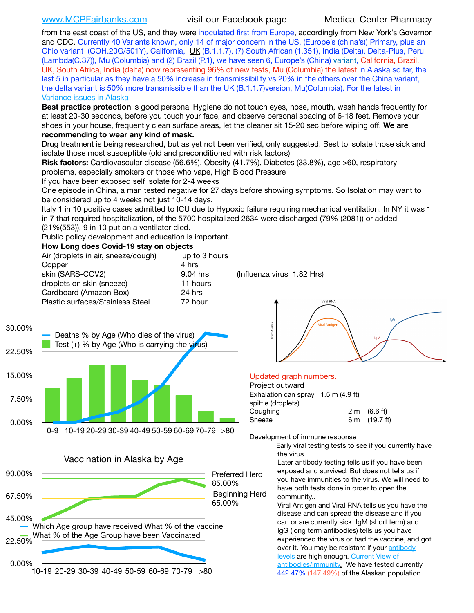# [www.MCPFairbanks.com](http://www.MCPFairbanks.com) visit our Facebook page Medical Center Pharmacy

from the east coast of the US, and they were inoculated first from Europe, accordingly from New York's Governor and CDC. Currently 40 Variants known, only 14 of major concern in the US. (Europe's (china's)) Primary, plus an Ohio variant (COH.20G/501Y), California, [UK](https://www.cdc.gov/coronavirus/2019-ncov/transmission/variant-cases.html) (B.1.1.7), (7) South African (1.351), India (Delta), Delta-Plus, Peru (Lambda(C.37)), Mu (Columbia) and (2) Brazil (P.1), we have seen 6, Europe's (China) [variant,](https://www.webmd.com/lung/news/20210318/cdc-who-create-threat-levels-for-covid-variants?ecd=wnl_cvd_031921&ctr=wnl-cvd-031921&mb=kYbf7DsHb7YGjh/1RUkcAW0T6iorImAU1TDZh18RYs0=_Support_titleLink_2) California, Brazil, UK, South Africa, India (delta) now representing 96% of new tests, Mu (Columbia) the latest in Alaska so far, the last 5 in particular as they have a 50% increase in transmissibility vs 20% in the others over the China variant, the delta variant is 50% more transmissible than the UK (B.1.1.7) version, Mu(Columbia). For the latest in [Variance issues in Alaska](https://lnks.gd/l/eyJhbGciOiJIUzI1NiJ9.eyJidWxsZXRpbl9saW5rX2lkIjoxMDgsInVyaSI6ImJwMjpjbGljayIsImJ1bGxldGluX2lkIjoiMjAyMTA4MDUuNDQxMzM4NzEiLCJ1cmwiOiJodHRwOi8vZGhzcy5hbGFza2EuZ292L2RwaC9FcGkvaWQvc2l0ZWFzc2V0cy9wYWdlcy9odW1hbmNvdi9BS1NlcUNvbl9HZW5vbWljU2l0dWF0aW9uUmVwb3J0LnBkZiJ9.wjCZc7vYm_CIgdjPTJyJ9ehoQjtub_KeZLTKgTIA69A/s/500544915/br/110405970878-l)

**Best practice protection** is good personal Hygiene do not touch eyes, nose, mouth, wash hands frequently for at least 20-30 seconds, before you touch your face, and observe personal spacing of 6-18 feet. Remove your shoes in your house, frequently clean surface areas, let the cleaner sit 15-20 sec before wiping off. **We are recommending to wear any kind of mask.**

Drug treatment is being researched, but as yet not been verified, only suggested. Best to isolate those sick and isolate those most susceptible (old and preconditioned with risk factors)

**Risk factors:** Cardiovascular disease (56.6%), Obesity (41.7%), Diabetes (33.8%), age >60, respiratory problems, especially smokers or those who vape, High Blood Pressure

If you have been exposed self isolate for 2-4 weeks

One episode in China, a man tested negative for 27 days before showing symptoms. So Isolation may want to be considered up to 4 weeks not just 10-14 days.

Italy 1 in 10 positive cases admitted to ICU due to Hypoxic failure requiring mechanical ventilation. In NY it was 1 in 7 that required hospitalization, of the 5700 hospitalized 2634 were discharged (79% (2081)) or added

(21%(553)), 9 in 10 put on a ventilator died.

Public policy development and education is important.

### **How Long does Covid-19 stay on objects**

| Air (droplets in air, sneeze/cough) | up to 3 hours |
|-------------------------------------|---------------|
| Copper                              | 4 hrs         |
| skin (SARS-COV2)                    | 9.04 hrs      |
| droplets on skin (sneeze)           | 11 hours      |
| Cardboard (Amazon Box)              | 24 hrs        |
| Plastic surfaces/Stainless Steel    | 72 hour       |

 $(Influenza virus 1.82 Hrs)$ 





10-19 20-29 30-39 40-49 50-59 60-69 70-79 >80



### Updated graph numbers.

Project outward Exhalation can spray 1.5 m (4.9 ft) spittle (droplets) Coughing 2 m (6.6 ft) Sneeze 6 m (19.7 ft)

Development of immune response

Early viral testing tests to see if you currently have the virus.

Later antibody testing tells us if you have been exposed and survived. But does not tells us if you have immunities to the virus. We will need to have both tests done in order to open the community..

Viral Antigen and Viral RNA tells us you have the disease and can spread the disease and if you can or are currently sick. IgM (short term) and IgG (long term antibodies) tells us you have experienced the virus or had the vaccine, and got over it. You may be resistant if your [antibody](https://www.cdc.gov/coronavirus/2019-ncov/lab/resources/antibody-tests.html)  [levels](https://www.cdc.gov/coronavirus/2019-ncov/lab/resources/antibody-tests.html) are high enough. [Current](https://l.facebook.com/l.php?u=https://www.itv.com/news/2020-10-26/covid-19-antibody-levels-reduce-over-time-study-finds?fbclid=IwAR3Dapzh1qIH1EIOdUQI2y8THf7jfA4KBCaJz8Qg-8xe1YsrR4nsAHDIXSY&h=AT30nut8pkqp0heVuz5W2rT2WFFm-2Ab52BsJxZZCNlGsX58IpPkuVEPULbIUV_M16MAukx1Kwb657DPXxsgDN1rpOQ4gqBtQsmVYiWpnHPJo2RQsU6CPMd14lgLnQnFWxfVi6zvmw&__tn__=-UK-R&c%5B0%5D=AT1GaRAfR_nGAyqcn7TI1-PpvqOqEKXHnz6TDWvRStMnOSH7boQDvTiwTOc6VId9UES6LKiOmm2m88wKCoolkJyOFvakt2Z1Mw8toYWGGoWW23r0MNVBl7cYJXB_UOvGklNHaNnaNr1_S7NhT3BSykNOBg) View of [antibodies/immunity](https://www.livescience.com/antibodies.html)[.](https://www.itv.com/news/2020-10-26/covid-19-antibody-levels-reduce-over-time-study-finds) We have tested currently 442.47% (147.49%) of the Alaskan population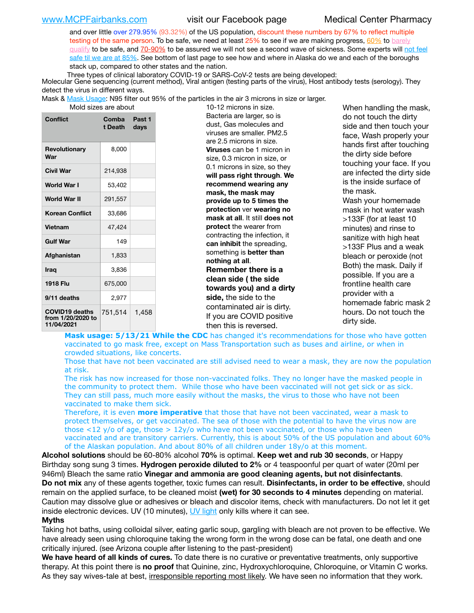and over little over 279.95% (93.32%) of the US population, discount these numbers by 67% to reflect multiple testing of the same person. To be safe, we need at least 25% to see if we are making progress, [60%](https://www.jhsph.edu/covid-19/articles/achieving-herd-immunity-with-covid19.html) to barely [qualify](https://www.nature.com/articles/d41586-020-02948-4) to be safe, and [70-90%](https://www.mayoclinic.org/herd-immunity-and-coronavirus/art-20486808) to be assured we will not see a second wave of sickness. Some experts will not feel [safe til we are at 85%](https://www.bannerhealth.com/healthcareblog/teach-me/what-is-herd-immunity). See bottom of last page to see how and where in Alaska do we and each of the boroughs stack up, compared to other states and the nation.

Three types of clinical laboratory COVID-19 or SARS-CoV-2 tests are being developed:

 Molecular Gene sequencing (current method), Viral antigen (testing parts of the virus), Host antibody tests (serology). They detect the virus in different ways.

Mask & [Mask Usage:](https://www.nationalgeographic.com/history/2020/03/how-cities-flattened-curve-1918-spanish-flu-pandemic-coronavirus/) N95 filter out 95% of the particles in the air 3 microns in size or larger.

| Mold sizes are abor |  |
|---------------------|--|
|---------------------|--|

| <b>Conflict</b>                                          | Comba<br>t Death | Past 1<br>days |
|----------------------------------------------------------|------------------|----------------|
| Revolutionary<br>War                                     | 8,000            |                |
| <b>Civil War</b>                                         | 214,938          |                |
| World War I                                              | 53,402           |                |
| World War II                                             | 291,557          |                |
| <b>Korean Conflict</b>                                   | 33,686           |                |
| <b>Vietnam</b>                                           | 47,424           |                |
| <b>Gulf War</b>                                          | 149              |                |
| Afghanistan                                              | 1,833            |                |
| <b>Iraq</b>                                              | 3,836            |                |
| 1918 Flu                                                 | 675,000          |                |
| 9/11 deaths                                              | 2.977            |                |
| <b>COVID19 deaths</b><br>from 1/20/2020 to<br>11/04/2021 | 751,514          | 1,458          |

are are about 10-12 microns in size. Bacteria are larger, so is dust, Gas molecules and viruses are smaller. PM2.5 are 2.5 microns in size. **Viruses** can be 1 micron in size, 0.3 micron in size, or 0.1 microns in size, so they **will pass right through**. **We recommend wearing any mask, the mask may provide up to 5 times the protection** ver **wearing no mask at all**. It still **does not protect** the wearer from contracting the infection, it **can inhibit** the spreading, something is **better than nothing at all**. **Remember there is a clean side ( the side towards you) and a dirty side,** the side to the contaminated air is dirty. If you are COVID positive then this is reversed.

When handling the mask, do not touch the dirty side and then touch your face, Wash properly your hands first after touching the dirty side before touching your face. If you are infected the dirty side is the inside surface of the mask. Wash your homemade mask in hot water wash >133F (for at least 10 minutes) and rinse to sanitize with high heat >133F Plus and a weak bleach or peroxide (not Both) the mask. Daily if possible. If you are a frontline health care provider with a homemade fabric mask 2 hours. Do not touch the dirty side.

Mask usage: 5/13/21 While the CDC has changed it's recommendations for those who have gotten vaccinated to go mask free, except on Mass Transportation such as buses and airline, or when in crowded situations, like concerts.

Those that have not been vaccinated are still advised need to wear a mask, they are now the population at risk.

The risk has now increased for those non-vaccinated folks. They no longer have the masked people in the community to protect them. While those who have been vaccinated will not get sick or as sick. They can still pass, much more easily without the masks, the virus to those who have not been vaccinated to make them sick.

Therefore, it is even **more imperative** that those that have not been vaccinated, wear a mask to protect themselves, or get vaccinated. The sea of those with the potential to have the virus now are those <12 y/o of age, those >  $12y$ /o who have not been vaccinated, or those who have been vaccinated and are transitory carriers. Currently, this is about 50% of the US population and about 60% of the Alaskan population. And about 80% of all children under 18y/o at this moment.

**Alcohol solutions** should be 60-80% alcohol **70%** is optimal. **Keep wet and rub 30 seconds**, or Happy Birthday song sung 3 times. **Hydrogen peroxide diluted to 2%** or 4 teaspoonful per quart of water (20ml per 946ml) Bleach the same ratio **Vinegar and ammonia are good cleaning agents, but not disinfectants**. **Do not mix** any of these agents together, toxic fumes can result. **Disinfectants, in order to be effective**, should remain on the applied surface, to be cleaned moist **(wet) for 30 seconds to 4 minutes** depending on material. Caution may dissolve glue or adhesives or bleach and discolor items, check with manufacturers. Do not let it get inside electronic devices. UV (10 minutes), [UV light](http://www.docreviews.me/best-uv-boxes-2020/?fbclid=IwAR3bvFtXB48OoBBSvYvTEnKuHNPbipxM6jUo82QUSw9wckxjC7wwRZWabGw) only kills where it can see.

### **Myths**

Taking hot baths, using colloidal silver, eating garlic soup, gargling with bleach are not proven to be effective. We have already seen using chloroquine taking the wrong form in the wrong dose can be fatal, one death and one critically injured. (see Arizona couple after listening to the past-president)

**We have heard of all kinds of cures.** To date there is no curative or preventative treatments, only supportive therapy. At this point there is **no proof** that Quinine, zinc, Hydroxychloroquine, Chloroquine, or Vitamin C works. As they say wives-tale at best, irresponsible reporting most likely. We have seen no information that they work.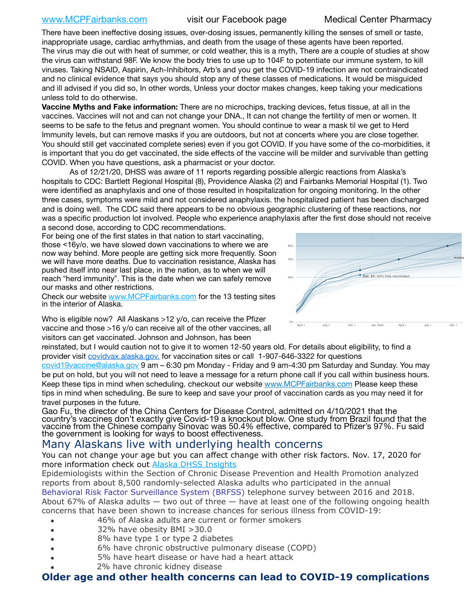[www.MCPFairbanks.com](http://www.MCPFairbanks.com) visit our Facebook page Medical Center Pharmacy

There have been ineffective dosing issues, over-dosing issues, permanently killing the senses of smell or taste, inappropriate usage, cardiac arrhythmias, and death from the usage of these agents have been reported. The virus may die out with heat of summer, or cold weather, this is a myth, There are a couple of studies at show the virus can withstand 98F. We know the body tries to use up to 104F to potentiate our immune system, to kill viruses. Taking NSAID, Aspirin, Ach-Inhibitors, Arb's and you get the COVID-19 infection are not contraindicated and no clinical evidence that says you should stop any of these classes of medications. It would be misguided and ill advised if you did so, In other words, Unless your doctor makes changes, keep taking your medications unless told to do otherwise.

**Vaccine Myths and Fake information:** There are no microchips, tracking devices, fetus tissue, at all in the vaccines. Vaccines will not and can not change your DNA., It can not change the fertility of men or women. It seems to be safe to the fetus and pregnant women. You should continue to wear a mask til we get to Herd Immunity levels, but can remove masks if you are outdoors, but not at concerts where you are close together. You should still get vaccinated complete series) even if you got COVID. If you have some of the co-morbidities, it is important that you do get vaccinated, the side effects of the vaccine will be milder and survivable than getting COVID. When you have questions, ask a pharmacist or your doctor.

As of 12/21/20, DHSS was aware of 11 reports regarding possible allergic reactions from Alaska's hospitals to CDC: Bartlett Regional Hospital (8), Providence Alaska (2) and Fairbanks Memorial Hospital (1). Two were identified as anaphylaxis and one of those resulted in hospitalization for ongoing monitoring. In the other three cases, symptoms were mild and not considered anaphylaxis. the hospitalized patient has been discharged and is doing well. The CDC said there appears to be no obvious geographic clustering of these reactions, nor was a specific production lot involved. People who experience anaphylaxis after the first dose should not receive a second dose, according to CDC recommendations.

For being one of the first states in that nation to start vaccinating, those <16y/o, we have slowed down vaccinations to where we are now way behind. More people are getting sick more frequently. Soon we will have more deaths. Due to vaccination resistance, Alaska has pushed itself into near last place, in the nation, as to when we will reach "herd immunity". This is the date when we can safely remove our masks and other restrictions.

Check our website [www.MCPFairbanks.com](http://www.MCPFairbanks.com) for the 13 testing sites in the interior of Alaska.

April 1 July 1 Oct. 1 Jan. 2022 April 1 July 1 Oct. 1 0% 50% 70% 85% **United States Alaska Oct. 31:** 53%

Who is eligible now? All Alaskans >12 y/o, can receive the Pfizer vaccine and those >16 y/o can receive all of the other vaccines, all visitors can get vaccinated. Johnson and Johnson, has been

reinstated, but I would caution not to give it to women 12-50 years old. For details about eligibility, to find a provider visit [covidvax.alaska.gov.](https://lnks.gd/l/eyJhbGciOiJIUzI1NiJ9.eyJidWxsZXRpbl9saW5rX2lkIjoxMDYsInVyaSI6ImJwMjpjbGljayIsImJ1bGxldGluX2lkIjoiMjAyMTAxMjguMzQwODU3NjEiLCJ1cmwiOiJodHRwOi8vZGhzcy5hbGFza2EuZ292L2RwaC9FcGkvaWQvUGFnZXMvQ09WSUQtMTkvdmFjY2luZS5hc3B4In0.-Xwhl42jAWOMS7ewfS85uxwrwjohCso3Sb81DuDKtxU/s/500544915/br/93796640171-l) for vaccination sites or call 1-907-646-3322 for questions

[covid19vaccine@alaska.gov](mailto:covid19vaccine@alaska.gov?subject=COVID19%20Vaccine%20questions) 9 am – 6:30 pm Monday - Friday and 9 am-4:30 pm Saturday and Sunday. You may be put on hold, but you will not need to leave a message for a return phone call if you call within business hours. Keep these tips in mind when scheduling. checkout our website [www.MCPFairbanks.com](http://www.MCPFairbanks.com) Please keep these tips in mind when scheduling. Be sure to keep and save your proof of vaccination cards as you may need it for travel purposes in the future.

Gao Fu, the director of the China Centers for Disease Control, admitted on 4/10/2021 that the country's vaccines don't exactly give Covid-19 a knockout blow. One study from Brazil found that the vaccine from the Chinese company Sinovac was 50.4% effective, compared to Pfizer's 97%. Fu said the government is looking for ways to boost effectiveness.

# Many Alaskans live with underlying health concerns

You can not change your age but you can affect change with other risk factors. Nov. 17, 2020 for more information check out [Alaska DHSS Insights](http://dhss.alaska.gov/dph/Epi/id/Pages/COVID-19/blog/20201117.aspx)

Epidemiologists within the Section of Chronic Disease Prevention and Health Promotion analyzed reports from about 8,500 randomly-selected Alaska adults who participated in the annual [Behavioral Risk Factor Surveillance System \(BRFSS\)](http://dhss.alaska.gov/dph/Chronic/Pages/brfss/default.aspx) telephone survey between 2016 and 2018. About 67% of Alaska adults — two out of three — have at least one of the following ongoing health concerns that have been shown to increase chances for serious illness from COVID-19:

- 46% of Alaska adults are current or former smokers
- 32% have obesity BMI >30.0
- 8% have type 1 or type 2 diabetes
- 6% have chronic obstructive pulmonary disease (COPD)
- 5% have heart disease or have had a heart attack
- 2% have chronic kidney disease

# **Older age and other health concerns can lead to COVID-19 complications**